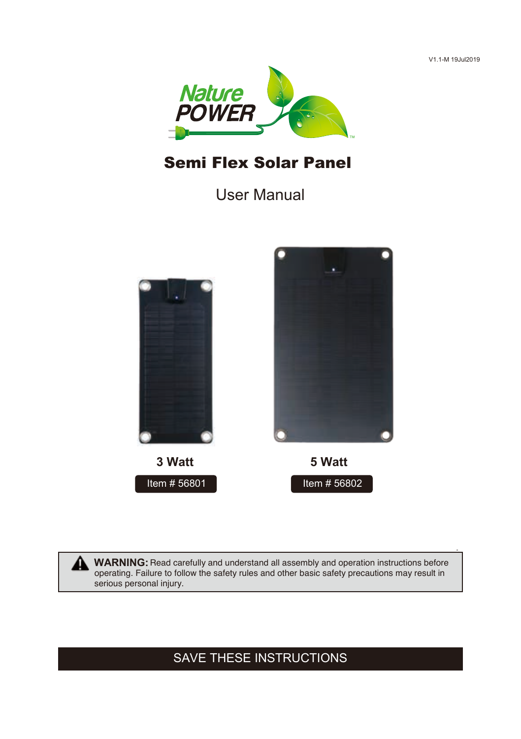V1.1-M 19Jul2019



# Semi Flex Solar Panel

User Manual



WARNING: Read carefully and understand all assembly and operation instructions before operating. Failure to follow the safety rules and other basic safety precautions may result in serious personal injury.

# SAVE THESE INSTRUCTIONS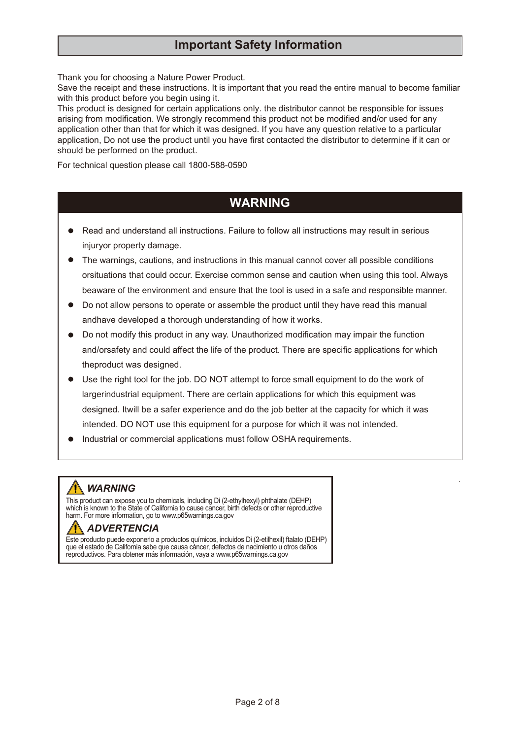## **Important Safety Information**

Thank you for choosing a Nature Power Product.

Save the receipt and these instructions. It is important that you read the entire manual to become familiar with this product before you begin using it.

This product is designed for certain applications only. the distributor cannot be responsible for issues arising from modification. We strongly recommend this product not be modified and/or used for any application other than that for which it was designed. If you have any question relative to a particular application, Do not use the product until you have first contacted the distributor to determine if it can or should be performed on the product.

For technical question please call 1800-588-0590

# **WARNING**

- Read and understand all instructions. Failure to follow all instructions may result in serious injuryor property damage.
- The warnings, cautions, and instructions in this manual cannot cover all possible conditions orsituations that could occur. Exercise common sense and caution when using this tool. Always beaware of the environment and ensure that the tool is used in a safe and responsible manner.
- Do not allow persons to operate or assemble the product until they have read this manual andhave developed a thorough understanding of how it works.
- Do not modify this product in any way. Unauthorized modification may impair the function and/orsafety and could affect the life of the product. There are specific applications for which theproduct was designed.
- Use the right tool for the job. DO NOT attempt to force small equipment to do the work of largerindustrial equipment. There are certain applications for which this equipment was designed. Itwill be a safer experience and do the job better at the capacity for which it was intended. DO NOT use this equipment for a purpose for which it was not intended.
- Industrial or commercial applications must follow OSHA requirements.

# *WARNING*

This product can expose you to chemicals, including Di (2-ethylhexyl) phthalate (DEHP)<br>which is known to the State of California to cause cancer, birth defects or other reproductive<br>harm. For more information, go to www.p6

### *ADVERTENCIA*

Este producto puede exponerlo a productos químicos, incluidos Di (2-etilhexil) ftalato (DEHP) que el estado de California sabe que causa cáncer, defectos de nacimiento u otros daños reproductivos. Para obtener más información, vaya a www.p65warnings.ca.gov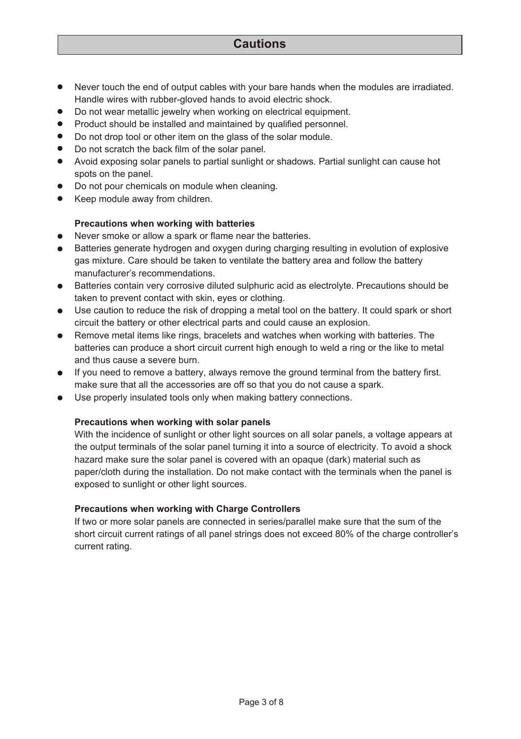### **Cautions**

- Never touch the end of output cables with your bare hands when the modules are irradiated. Handle wires with rubber-gloved hands to avoid electric shock.
- Do not wear metallic jewelry when working on electrical equipment.
- Product should be installed and maintained by qualified personnel.
- Do not drop tool or other item on the glass of the solar module.
- Do not scratch the back film of the solar panel.
- Avoid exposing solar panels to partial sunlight or shadows. Partial sunlight can cause hot spots on the panel.
- Do not pour chemicals on module when cleaning.
- Keep module away from children.

#### **Precautions when working with batteries**

- Never smoke or allow a spark or flame near the batteries.
- Batteries generate hydrogen and oxygen during charging resulting in evolution of explosive gas mixture. Care should be taken to ventilate the battery area and follow the battery manufacturer's recommendations.
- Batteries contain very corrosive diluted sulphuric acid as electrolyte. Precautions should be taken to prevent contact with skin, eyes or clothing.
- Use caution to reduce the risk of dropping a metal tool on the battery. It could spark or short circuit the battery or other electrical parts and could cause an explosion.
- Remove metal items like rings, bracelets and watches when working with batteries. The batteries can produce a short circuit current high enough to weld a ring or the like to metal and thus cause a severe burn.
- If you need to remove a battery, always remove the ground terminal from the battery first. make sure that all the accessories are off so that you do not cause a spark.
- Use properly insulated tools only when making battery connections.

#### **Precautions when working with solar panels**

With the incidence of sunlight or other light sources on all solar panels, a voltage appears at the output terminals of the solar panel turning it into a source of electricity. To avoid a shock hazard make sure the solar panel is covered with an opaque (dark) material such as paper/cloth during the installation. Do not make contact with the terminals when the panel is exposed to sunlight or other light sources.

#### **Precautions when working with Charge Controllers**

If two or more solar panels are connected in series/parallel make sure that the sum of the short circuit current ratings of all panel strings does not exceed 80% of the charge controller's current rating.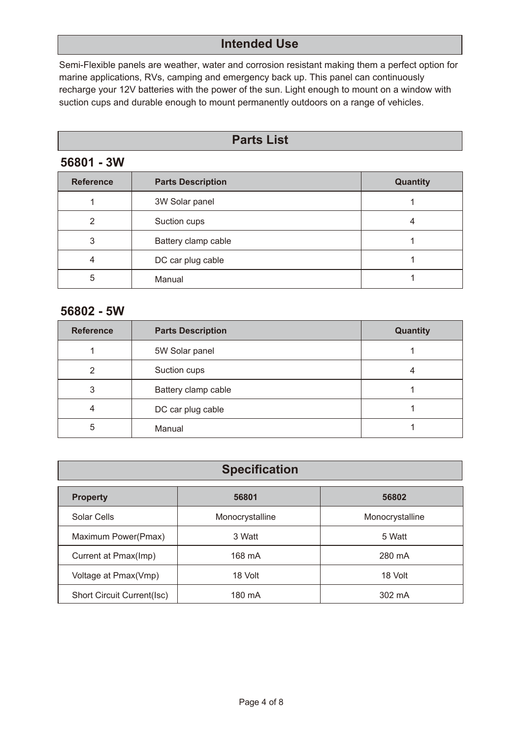## **Intended Use**

Semi-Flexible panels are weather, water and corrosion resistant making them a perfect option for marine applications, RVs, camping and emergency back up. This panel can continuously recharge your 12V batteries with the power of the sun. Light enough to mount on a window with suction cups and durable enough to mount permanently outdoors on a range of vehicles.

### **Parts List**

### **56801 - 3W**

| <b>Reference</b> | <b>Parts Description</b> | Quantity |
|------------------|--------------------------|----------|
|                  | 3W Solar panel           |          |
| 2                | Suction cups             |          |
| 3                | Battery clamp cable      |          |
|                  | DC car plug cable        |          |
| 5                | Manual                   |          |

### **56802 - 5W**

| <b>Reference</b> | <b>Parts Description</b> | Quantity |
|------------------|--------------------------|----------|
|                  | 5W Solar panel           |          |
| 2                | Suction cups             |          |
| 3                | Battery clamp cable      |          |
| 4                | DC car plug cable        |          |
| 5                | Manual                   |          |

| <b>Specification</b>       |                 |                 |  |  |  |  |
|----------------------------|-----------------|-----------------|--|--|--|--|
| <b>Property</b>            | 56801           | 56802           |  |  |  |  |
| Solar Cells                | Monocrystalline | Monocrystalline |  |  |  |  |
| Maximum Power(Pmax)        | 3 Watt          | 5 Watt          |  |  |  |  |
| Current at Pmax(Imp)       | 168 mA          | 280 mA          |  |  |  |  |
| Voltage at Pmax(Vmp)       | 18 Volt         | 18 Volt         |  |  |  |  |
| Short Circuit Current(Isc) | 180 mA          | 302 mA          |  |  |  |  |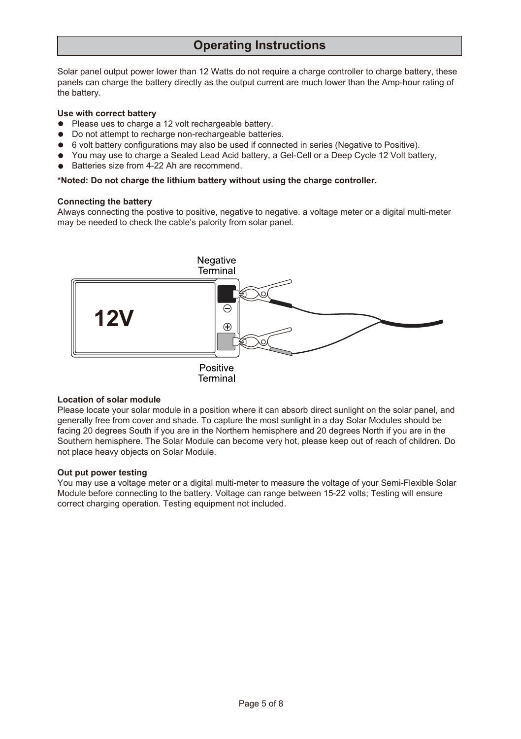## **Operating Instructions**

Solar panel output power lower than 12 Watts do not require a charge controller to charge battery, these panels can charge the battery directly as the output current are much lower than the Amp-hour rating of the battery.

#### **Use with correct battery**

- Please ues to charge a 12 volt rechargeable battery.
- $\bullet$  Do not attempt to recharge non-rechargeable batteries.
- 6 volt battery configurations may also be used if connected in series (Negative to Positive).
- You may use to charge a Sealed Lead Acid battery, a Gel-Cell or a Deep Cycle 12 Volt battery,
- Batteries size from 4-22 Ah are recommend.

#### **\*Noted: Do not charge the lithium battery without using the charge controller.**

#### **Connecting the battery**

Always connecting the postive to positive, negative to negative. a voltage meter or a digital multi-meter may be needed to check the cable's palority from solar panel.



Terminal

#### **Location of solar module**

Please locate your solar module in a position where it can absorb direct sunlight on the solar panel, and generally free from cover and shade. To capture the most sunlight in a day Solar Modules should be facing 20 degrees South if you are in the Northern hemisphere and 20 degrees North if you are in the Southern hemisphere. The Solar Module can become very hot, please keep out of reach of children. Do not place heavy objects on Solar Module.

#### **Out put power testing**

You may use a voltage meter or a digital multi-meter to measure the voltage of your Semi-Flexible Solar Module before connecting to the battery. Voltage can range between 15-22 volts; Testing will ensure correct charging operation. Testing equipment not included.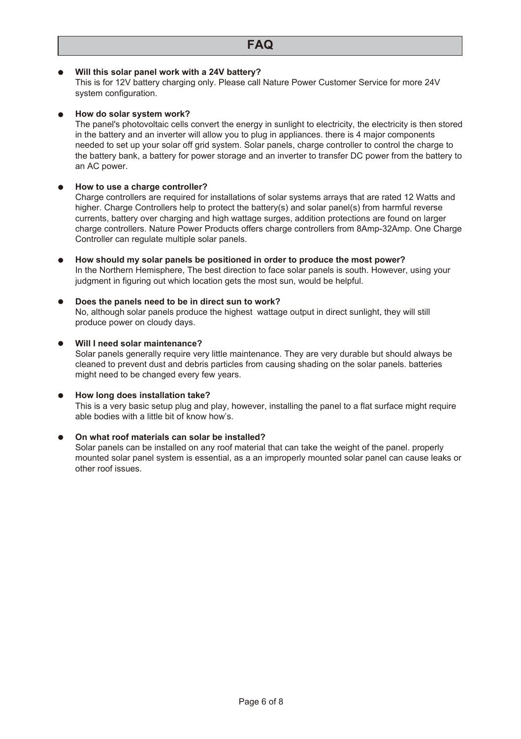#### **Will this solar panel work with a 24V battery?**

This is for 12V battery charging only. Please call Nature Power Customer Service for more 24V system configuration.

#### **How do solar system work?**

The panel's photovoltaic cells convert the energy in sunlight to electricity, the electricity is then stored in the battery and an inverter will allow you to plug in appliances. there is 4 major components needed to set up your solar off grid system. Solar panels, charge controller to control the charge to the battery bank, a battery for power storage and an inverter to transfer DC power from the battery to an AC power.

#### **How to use a charge controller?**

Charge controllers are required for installations of solar systems arrays that are rated 12 Watts and higher. Charge Controllers help to protect the battery(s) and solar panel(s) from harmful reverse currents, battery over charging and high wattage surges, addition protections are found on larger charge controllers. Nature Power Products offers charge controllers from 8Amp-32Amp. One Charge Controller can regulate multiple solar panels.

- **How should my solar panels be positioned in order to produce the most power?**  $\bullet$ In the Northern Hemisphere, The best direction to face solar panels is south. However, using your judgment in figuring out which location gets the most sun, would be helpful.
- **Does the panels need to be in direct sun to work?**  $\bullet$ No, although solar panels produce the highest wattage output in direct sunlight, they will still produce power on cloudy days.

# **Will I need solar maintenance?**

Solar panels generally require very little maintenance. They are very durable but should always be cleaned to prevent dust and debris particles from causing shading on the solar panels. batteries might need to be changed every few years.

#### **How long does installation take?**

This is a very basic setup plug and play, however, installing the panel to a flat surface might require able bodies with a little bit of know how's.

#### **On what roof materials can solar be installed?**

Solar panels can be installed on any roof material that can take the weight of the panel. properly mounted solar panel system is essential, as a an improperly mounted solar panel can cause leaks or other roof issues.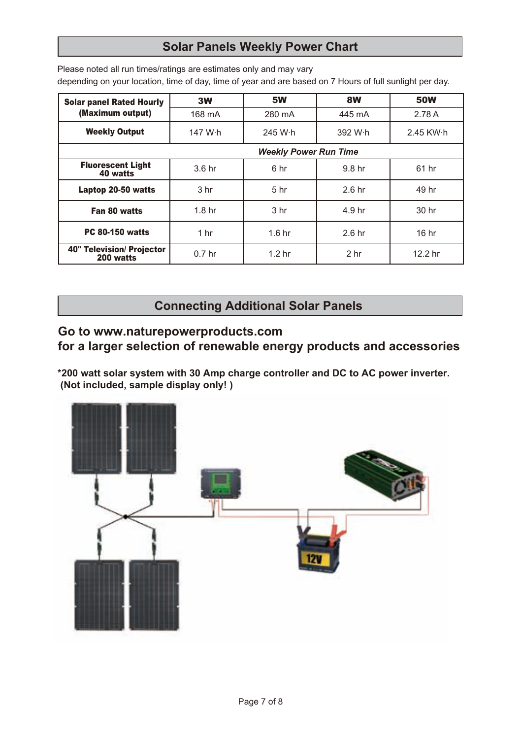# **Solar Panels Weekly Power Chart**

Please noted all run times/ratings are estimates only and may vary depending on your location, time of day, time of year and are based on 7 Hours of full sunlight per day.

| <b>Solar panel Rated Hourly</b>        | 3W                           | <b>5W</b>         | 8W                | <b>50W</b> |  |  |
|----------------------------------------|------------------------------|-------------------|-------------------|------------|--|--|
| (Maximum output)                       | 168 mA                       | 280 mA            | 445 mA            | 2.78 A     |  |  |
| <b>Weekly Output</b>                   | 147 W·h                      | 245 W·h           | 392 W·h           | 2.45 KW·h  |  |  |
|                                        | <b>Weekly Power Run Time</b> |                   |                   |            |  |  |
| <b>Fluorescent Light</b><br>40 watts   | 3.6 hr                       | 6 hr              | 9.8 hr            | 61 hr      |  |  |
| Laptop 20-50 watts                     | 3 <sub>hr</sub>              | 5 <sub>hr</sub>   | 2.6 <sub>hr</sub> | 49 hr      |  |  |
| Fan 80 watts                           | 1.8 <sub>hr</sub>            | 3 <sub>hr</sub>   | 4.9 hr            | 30 hr      |  |  |
| <b>PC 80-150 watts</b>                 | 1 hr                         | 1.6 <sub>hr</sub> | 2.6 <sub>hr</sub> | 16 hr      |  |  |
| 40" Television/ Projector<br>200 watts | 0.7 <sub>hr</sub>            | 1.2 <sub>hr</sub> | 2 <sub>hr</sub>   | 12.2 hr    |  |  |

**Connecting Additional Solar Panels** 

## **Go to www.naturepowerproducts.com**

**for a larger selection of renewable energy products and accessories**

**\*200 watt solar system with 30 Amp charge controller and DC to AC power inverter. (Not included, sample display only! )**